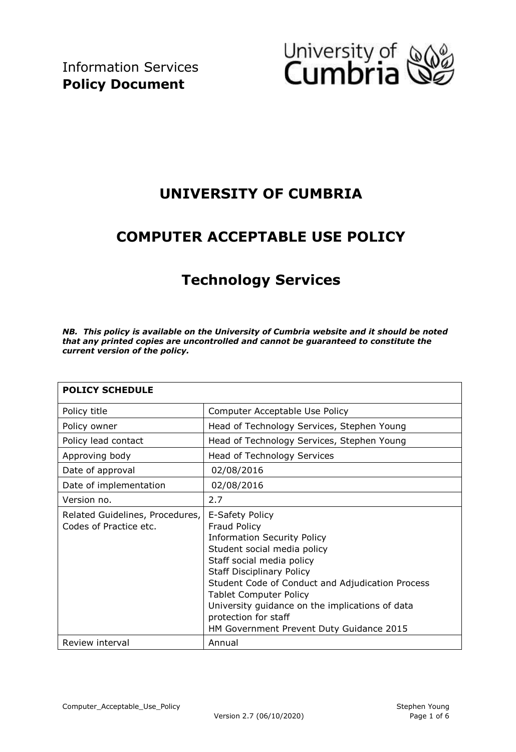

## **UNIVERSITY OF CUMBRIA**

## **COMPUTER ACCEPTABLE USE POLICY**

# **Technology Services**

*NB. This policy is available on the University of Cumbria website and it should be noted that any printed copies are uncontrolled and cannot be guaranteed to constitute the current version of the policy.* 

| <b>POLICY SCHEDULE</b>                                    |                                                                                                                                                                                                                                                                                                                                                                                          |  |  |  |
|-----------------------------------------------------------|------------------------------------------------------------------------------------------------------------------------------------------------------------------------------------------------------------------------------------------------------------------------------------------------------------------------------------------------------------------------------------------|--|--|--|
| Policy title                                              | Computer Acceptable Use Policy                                                                                                                                                                                                                                                                                                                                                           |  |  |  |
| Policy owner                                              | Head of Technology Services, Stephen Young                                                                                                                                                                                                                                                                                                                                               |  |  |  |
| Policy lead contact                                       | Head of Technology Services, Stephen Young                                                                                                                                                                                                                                                                                                                                               |  |  |  |
| Approving body                                            | Head of Technology Services                                                                                                                                                                                                                                                                                                                                                              |  |  |  |
| Date of approval                                          | 02/08/2016                                                                                                                                                                                                                                                                                                                                                                               |  |  |  |
| Date of implementation                                    | 02/08/2016                                                                                                                                                                                                                                                                                                                                                                               |  |  |  |
| Version no.                                               | 2.7                                                                                                                                                                                                                                                                                                                                                                                      |  |  |  |
| Related Guidelines, Procedures,<br>Codes of Practice etc. | E-Safety Policy<br><b>Fraud Policy</b><br><b>Information Security Policy</b><br>Student social media policy<br>Staff social media policy<br><b>Staff Disciplinary Policy</b><br>Student Code of Conduct and Adjudication Process<br><b>Tablet Computer Policy</b><br>University guidance on the implications of data<br>protection for staff<br>HM Government Prevent Duty Guidance 2015 |  |  |  |
| Review interval                                           | Annual                                                                                                                                                                                                                                                                                                                                                                                   |  |  |  |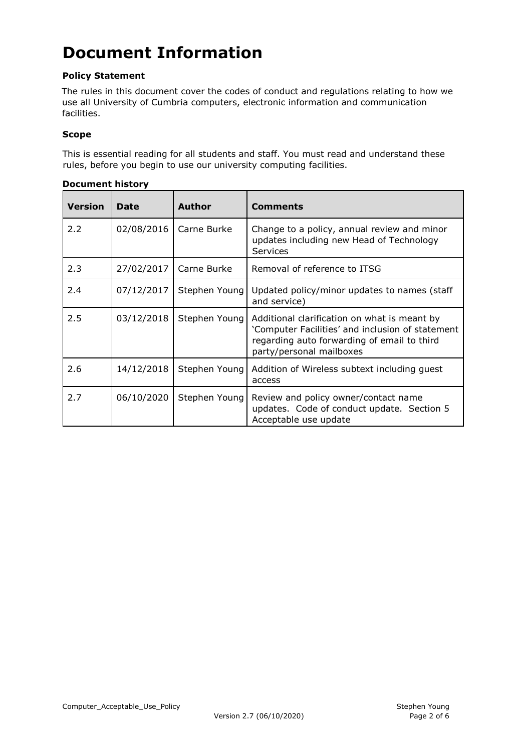# **Document Information**

#### **Policy Statement**

The rules in this document cover the codes of conduct and regulations relating to how we use all University of Cumbria computers, electronic information and communication facilities.

#### **Scope**

This is essential reading for all students and staff. You must read and understand these rules, before you begin to use our university computing facilities.

| <b>Version</b> | <b>Date</b> | <b>Author</b> | <b>Comments</b>                                                                                                                                                             |
|----------------|-------------|---------------|-----------------------------------------------------------------------------------------------------------------------------------------------------------------------------|
| 2.2            | 02/08/2016  | Carne Burke   | Change to a policy, annual review and minor<br>updates including new Head of Technology<br><b>Services</b>                                                                  |
| 2.3            | 27/02/2017  | Carne Burke   | Removal of reference to ITSG                                                                                                                                                |
| 2.4            | 07/12/2017  | Stephen Young | Updated policy/minor updates to names (staff<br>and service)                                                                                                                |
| 2.5            | 03/12/2018  | Stephen Young | Additional clarification on what is meant by<br>'Computer Facilities' and inclusion of statement<br>regarding auto forwarding of email to third<br>party/personal mailboxes |
| 2.6            | 14/12/2018  | Stephen Young | Addition of Wireless subtext including guest<br>access                                                                                                                      |
| 2.7            | 06/10/2020  | Stephen Young | Review and policy owner/contact name<br>updates. Code of conduct update. Section 5<br>Acceptable use update                                                                 |

#### **Document history**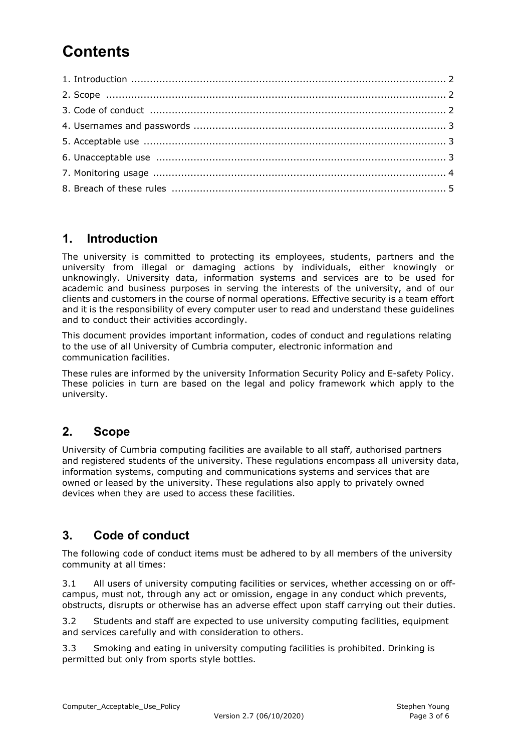# **Contents**

### **1. Introduction**

The university is committed to protecting its employees, students, partners and the university from illegal or damaging actions by individuals, either knowingly or unknowingly. University data, information systems and services are to be used for academic and business purposes in serving the interests of the university, and of our clients and customers in the course of normal operations. Effective security is a team effort and it is the responsibility of every computer user to read and understand these guidelines and to conduct their activities accordingly.

This document provides important information, codes of conduct and regulations relating to the use of all University of Cumbria computer, electronic information and communication facilities.

These rules are informed by the university Informatio[n](http://www.cumbria.ac.uk/AboutUs/Services/VCO/PublicationScheme/PoliciesAndProcedures.aspx) [Security](http://www.cumbria.ac.uk/AboutUs/Services/VCO/PublicationScheme/PoliciesAndProcedures.aspx) [Policy](http://www.cumbria.ac.uk/AboutUs/Services/VCO/PublicationScheme/PoliciesAndProcedures.aspx) and [E-safety](http://www.cumbria.ac.uk/Public/ICTS/Documents/Policies/ESafetyPolicy.pdf) [Policy.](http://www.cumbria.ac.uk/Public/ICTS/Documents/Policies/ESafetyPolicy.pdf) These policies in turn are based on the legal and policy framework which apply to the university.

#### **2. Scope**

University of Cumbria computing facilities are available to all staff, authorised partners and registered students of the university. These regulations encompass all university data, information systems, computing and communications systems and services that are owned or leased by the university. These regulations also apply to privately owned devices when they are used to access these facilities.

#### **3. Code of conduct**

The following code of conduct items must be adhered to by all members of the university community at all times:

3.1 All users of university computing facilities or services, whether accessing on or offcampus, must not, through any act or omission, engage in any conduct which prevents, obstructs, disrupts or otherwise has an adverse effect upon staff carrying out their duties.

3.2 Students and staff are expected to use university computing facilities, equipment and services carefully and with consideration to others.

3.3 Smoking and eating in university computing facilities is prohibited. Drinking is permitted but only from sports style bottles.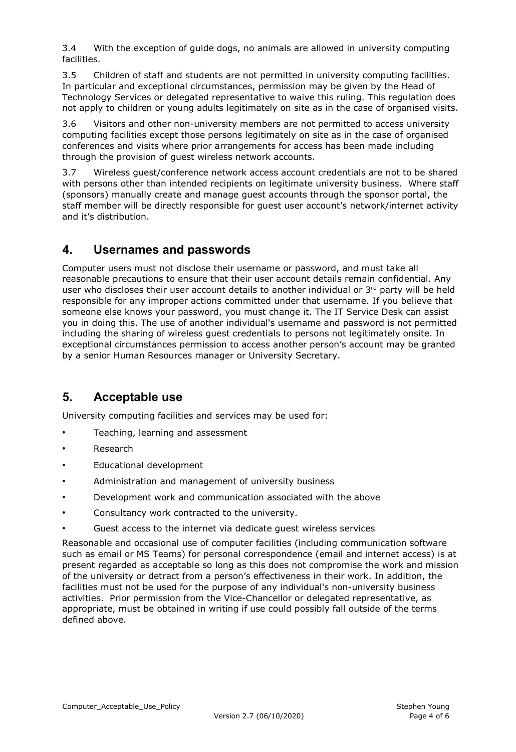3.4 With the exception of guide dogs, no animals are allowed in university computing facilities.

3.5 Children of staff and students are not permitted in university computing facilities. In particular and exceptional circumstances, permission may be given by the Head of Technology Services or delegated representative to waive this ruling. This regulation does not apply to children or young adults legitimately on site as in the case of organised visits.

3.6 Visitors and other non-university members are not permitted to access university computing facilities except those persons legitimately on site as in the case of organised conferences and visits where prior arrangements for access has been made including through the provision of guest wireless network accounts.

3.7 Wireless guest/conference network access account credentials are not to be shared with persons other than intended recipients on legitimate university business. Where staff (sponsors) manually create and manage guest accounts through the sponsor portal, the staff member will be directly responsible for guest user account's network/internet activity and it's distribution.

#### **4. Usernames and passwords**

Computer users must not disclose their username or password, and must take all reasonable precautions to ensure that their user account details remain confidential. Any user who discloses their user account details to another individual or  $3<sup>rd</sup>$  party will be held responsible for any improper actions committed under that username. If you believe that someone else knows your password, you must change it. The IT Service Desk can assist you in doing this. The use of another individual's username and password is not permitted including the sharing of wireless guest credentials to persons not legitimately onsite. In exceptional circumstances permission to access another person's account may be granted by a senior Human Resources manager or University Secretary.

#### **5. Acceptable use**

University computing facilities and services may be used for:

- Teaching, learning and assessment
- **Research**
- Educational development
- Administration and management of university business
- Development work and communication associated with the above
- Consultancy work contracted to the university.
- Guest access to the internet via dedicate quest wireless services

Reasonable and occasional use of computer facilities (including communication software such as email or MS Teams) for personal correspondence (email and internet access) is at present regarded as acceptable so long as this does not compromise the work and mission of the university or detract from a person's effectiveness in their work. In addition, the facilities must not be used for the purpose of any individual's non-university business activities. Prior permission from the Vice-Chancellor or delegated representative, as appropriate, must be obtained in writing if use could possibly fall outside of the terms defined above.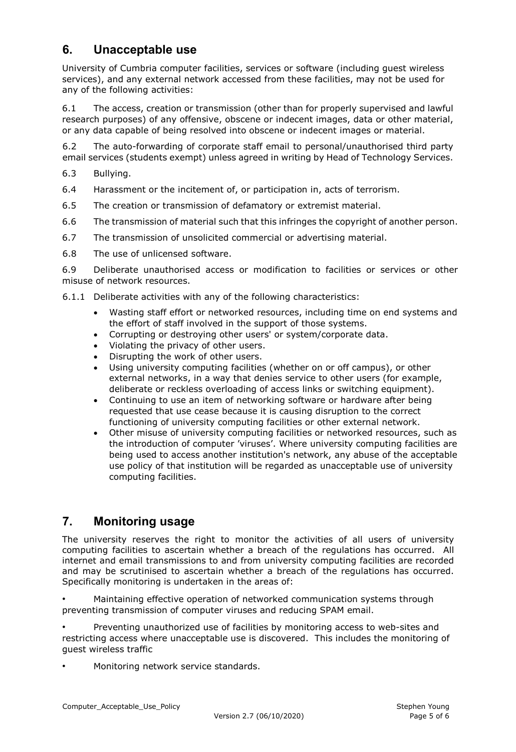### **6. Unacceptable use**

University of Cumbria computer facilities, services or software (including guest wireless services), and any external network accessed from these facilities, may not be used for any of the following activities:

6.1 The access, creation or transmission (other than for properly supervised and lawful research purposes) of any offensive, obscene or indecent images, data or other material, or any data capable of being resolved into obscene or indecent images or material.

6.2 The auto-forwarding of corporate staff email to personal/unauthorised third party email services (students exempt) unless agreed in writing by Head of Technology Services.

- 6.3 Bullying.
- 6.4 Harassment or the incitement of, or participation in, acts of terrorism.
- 6.5 The creation or transmission of defamatory or extremist material.
- 6.6 The transmission of material such that this infringes the copyright of another person.
- 6.7 The transmission of unsolicited commercial or advertising material.
- 6.8 The use of unlicensed software.

6.9 Deliberate unauthorised access or modification to facilities or services or other misuse of network resources.

- 6.1.1 Deliberate activities with any of the following characteristics:
	- Wasting staff effort or networked resources, including time on end systems and the effort of staff involved in the support of those systems.
	- Corrupting or destroying other users' or system/corporate data.
	- Violating the privacy of other users.
	- Disrupting the work of other users.
	- Using university computing facilities (whether on or off campus), or other external networks, in a way that denies service to other users (for example, deliberate or reckless overloading of access links or switching equipment).
	- Continuing to use an item of networking software or hardware after being requested that use cease because it is causing disruption to the correct functioning of university computing facilities or other external network.
	- Other misuse of university computing facilities or networked resources, such as the introduction of computer 'viruses'. Where university computing facilities are being used to access another institution's network, any abuse of the acceptable use policy of that institution will be regarded as unacceptable use of university computing facilities.

## **7. Monitoring usage**

The university reserves the right to monitor the activities of all users of university computing facilities to ascertain whether a breach of the regulations has occurred. All internet and email transmissions to and from university computing facilities are recorded and may be scrutinised to ascertain whether a breach of the regulations has occurred. Specifically monitoring is undertaken in the areas of:

• Maintaining effective operation of networked communication systems through preventing transmission of computer viruses and reducing SPAM email.

• Preventing unauthorized use of facilities by monitoring access to web-sites and restricting access where unacceptable use is discovered. This includes the monitoring of guest wireless traffic

• Monitoring network service standards.